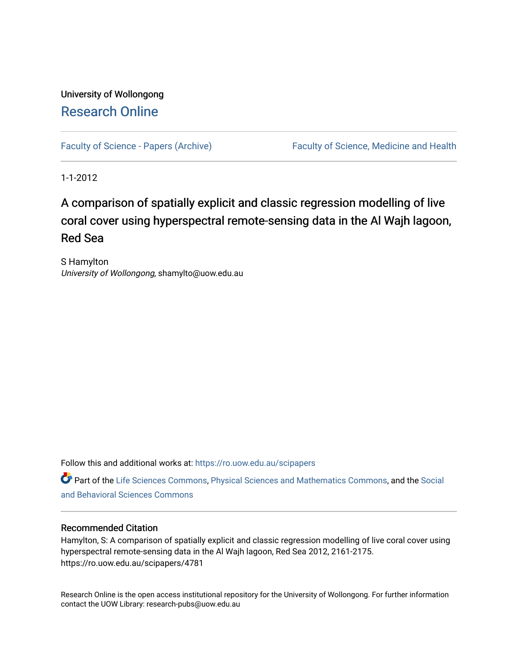# University of Wollongong [Research Online](https://ro.uow.edu.au/)

[Faculty of Science - Papers \(Archive\)](https://ro.uow.edu.au/scipapers) Faculty of Science, Medicine and Health

1-1-2012

# A comparison of spatially explicit and classic regression modelling of live coral cover using hyperspectral remote-sensing data in the Al Wajh lagoon, Red Sea

S Hamylton University of Wollongong, shamylto@uow.edu.au

Follow this and additional works at: [https://ro.uow.edu.au/scipapers](https://ro.uow.edu.au/scipapers?utm_source=ro.uow.edu.au%2Fscipapers%2F4781&utm_medium=PDF&utm_campaign=PDFCoverPages)

Part of the [Life Sciences Commons,](http://network.bepress.com/hgg/discipline/1016?utm_source=ro.uow.edu.au%2Fscipapers%2F4781&utm_medium=PDF&utm_campaign=PDFCoverPages) [Physical Sciences and Mathematics Commons,](http://network.bepress.com/hgg/discipline/114?utm_source=ro.uow.edu.au%2Fscipapers%2F4781&utm_medium=PDF&utm_campaign=PDFCoverPages) and the [Social](http://network.bepress.com/hgg/discipline/316?utm_source=ro.uow.edu.au%2Fscipapers%2F4781&utm_medium=PDF&utm_campaign=PDFCoverPages)  [and Behavioral Sciences Commons](http://network.bepress.com/hgg/discipline/316?utm_source=ro.uow.edu.au%2Fscipapers%2F4781&utm_medium=PDF&utm_campaign=PDFCoverPages) 

### Recommended Citation

Hamylton, S: A comparison of spatially explicit and classic regression modelling of live coral cover using hyperspectral remote-sensing data in the Al Wajh lagoon, Red Sea 2012, 2161-2175. https://ro.uow.edu.au/scipapers/4781

Research Online is the open access institutional repository for the University of Wollongong. For further information contact the UOW Library: research-pubs@uow.edu.au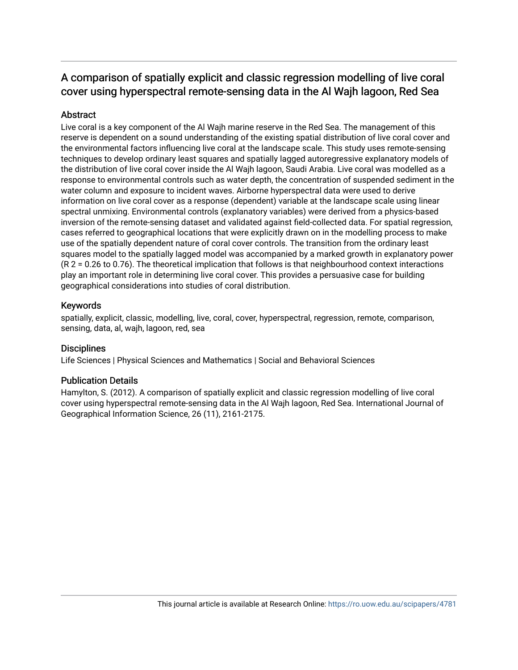# A comparison of spatially explicit and classic regression modelling of live coral cover using hyperspectral remote-sensing data in the Al W ajh lagoon, Red Sea

## Abstract

Live coral is a key component of the Al Wajh marine reserve in the Red Sea. The management of this reserve is dependent on a sound understanding of the existing spatial distribution of live coral cover and the environmental factors influencing live coral at the landscape scale. This study uses remote-sensing techniques to develop ordinary least squares and spatially lagged autoregressive explanatory models of the distribution of live coral cover inside the Al Wajh lagoon, Saudi Arabia. Live coral was modelled as a response to environmental controls such as water depth, the concentration of suspended sediment in the water column and exposure to incident waves. Airborne hyperspectral data were used to derive information on live coral cover as a response (dependent) variable at the landscape scale using linear spectral unmixing. Environmental controls (explanatory variables) were derived from a physics-based inversion of the remote-sensing dataset and validated against field-collected data. For spatial regression, cases referred to geographical locations that were explicitly drawn on in the modelling process to make use of the spatially dependent nature of coral cover controls. The transition from the ordinary least squares model to the spatially lagged model was accompanied by a marked growth in explanatory power (R 2 = 0.26 to 0.76). The theoretical implication that follows is that neighbourhood context interactions play an important role in determining live coral cover. This provides a persuasive case for building geographical considerations into studies of coral distribution.

### Keywords

spatially, explicit, classic, modelling, live, coral, cover, hyperspectral, regression, remote, comparison, sensing, data, al, wajh, lagoon, red, sea

### **Disciplines**

Life Sciences | Physical Sciences and Mathematics | Social and Behavioral Sciences

### Publication Details

Hamylton, S. (2012). A comparison of spatially explicit and classic regression modelling of live coral cover using hyperspectral remote-sensing data in the Al Wajh lagoon, Red Sea. International Journal of Geographical Information Science, 26 (11), 2161-2175.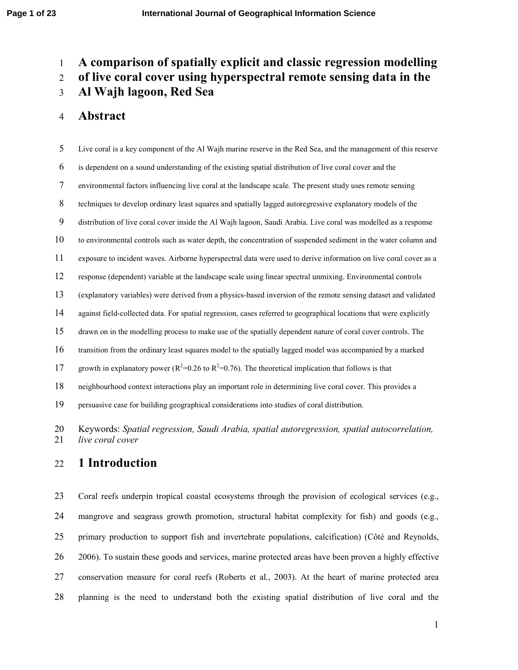# **A comparison of spatially explicit and classic regression modelling**

- **of live coral cover using hyperspectral remote sensing data in the Al Wajh lagoon, Red Sea**
- **Abstract**

Live coral is a key component of the Al Wajh marine reserve in the Red Sea, and the management of this reserve is dependent on a sound understanding of the existing spatial distribution of live coral cover and the

- environmental factors influencing live coral at the landscape scale. The present study uses remote sensing
- techniques to develop ordinary least squares and spatially lagged autoregressive explanatory models of the
- distribution of live coral cover inside the Al Wajh lagoon, Saudi Arabia. Live coral was modelled as a response
- to environmental controls such as water depth, the concentration of suspended sediment in the water column and
- exposure to incident waves. Airborne hyperspectral data were used to derive information on live coral cover as a

response (dependent) variable at the landscape scale using linear spectral unmixing. Environmental controls

- (explanatory variables) were derived from a physics-based inversion of the remote sensing dataset and validated
- 14 against field-collected data. For spatial regression, cases referred to geographical locations that were explicitly
- drawn on in the modelling process to make use of the spatially dependent nature of coral cover controls. The
- transition from the ordinary least squares model to the spatially lagged model was accompanied by a marked

17 growth in explanatory power ( $R^2$ =0.26 to  $R^2$ =0.76). The theoretical implication that follows is that

neighbourhood context interactions play an important role in determining live coral cover. This provides a

persuasive case for building geographical considerations into studies of coral distribution.

20 Keywords: *Spatial regression, Saudi Arabia, spatial autoregression, spatial autocorrelation, live coral cover* 

# **1 Introduction**

Coral reefs underpin tropical coastal ecosystems through the provision of ecological services (e.g., mangrove and seagrass growth promotion, structural habitat complexity for fish) and goods (e.g., primary production to support fish and invertebrate populations, calcification) (Côté and Reynolds, 2006). To sustain these goods and services, marine protected areas have been proven a highly effective conservation measure for coral reefs (Roberts et al., 2003). At the heart of marine protected area planning is the need to understand both the existing spatial distribution of live coral and the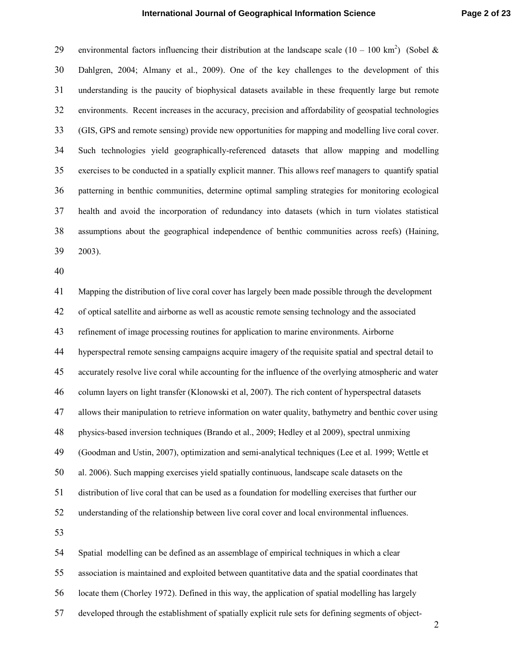#### **International Journal of Geographical Information Science Page 2 of 23**

29 environmental factors influencing their distribution at the landscape scale  $(10 - 100 \text{ km}^2)$  (Sobel & Dahlgren, 2004; Almany et al., 2009). One of the key challenges to the development of this understanding is the paucity of biophysical datasets available in these frequently large but remote environments. Recent increases in the accuracy, precision and affordability of geospatial technologies (GIS, GPS and remote sensing) provide new opportunities for mapping and modelling live coral cover. Such technologies yield geographically-referenced datasets that allow mapping and modelling exercises to be conducted in a spatially explicit manner. This allows reef managers to quantify spatial patterning in benthic communities, determine optimal sampling strategies for monitoring ecological health and avoid the incorporation of redundancy into datasets (which in turn violates statistical assumptions about the geographical independence of benthic communities across reefs) (Haining, 2003).

Mapping the distribution of live coral cover has largely been made possible through the development of optical satellite and airborne as well as acoustic remote sensing technology and the associated refinement of image processing routines for application to marine environments. Airborne hyperspectral remote sensing campaigns acquire imagery of the requisite spatial and spectral detail to accurately resolve live coral while accounting for the influence of the overlying atmospheric and water column layers on light transfer (Klonowski et al, 2007). The rich content of hyperspectral datasets allows their manipulation to retrieve information on water quality, bathymetry and benthic cover using physics-based inversion techniques (Brando et al., 2009; Hedley et al 2009), spectral unmixing (Goodman and Ustin, 2007), optimization and semi-analytical techniques (Lee et al. 1999; Wettle et al. 2006). Such mapping exercises yield spatially continuous, landscape scale datasets on the distribution of live coral that can be used as a foundation for modelling exercises that further our understanding of the relationship between live coral cover and local environmental influences. 

Spatial modelling can be defined as an assemblage of empirical techniques in which a clear association is maintained and exploited between quantitative data and the spatial coordinates that locate them (Chorley 1972). Defined in this way, the application of spatial modelling has largely developed through the establishment of spatially explicit rule sets for defining segments of object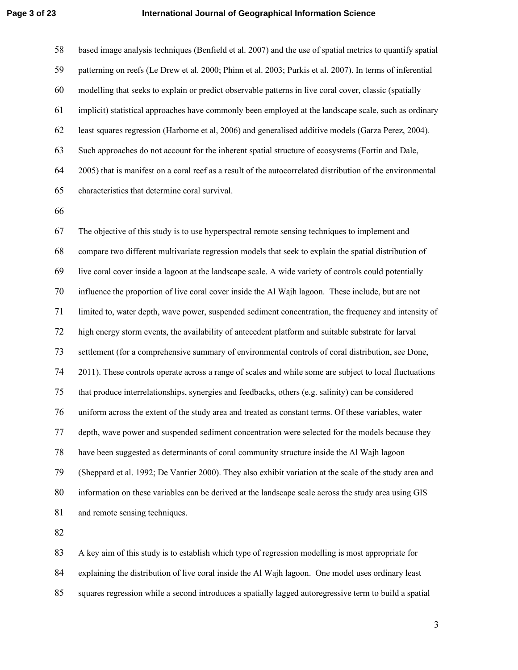based image analysis techniques (Benfield et al. 2007) and the use of spatial metrics to quantify spatial patterning on reefs (Le Drew et al. 2000; Phinn et al. 2003; Purkis et al. 2007). In terms of inferential modelling that seeks to explain or predict observable patterns in live coral cover, classic (spatially implicit) statistical approaches have commonly been employed at the landscape scale, such as ordinary least squares regression (Harborne et al, 2006) and generalised additive models (Garza Perez, 2004). Such approaches do not account for the inherent spatial structure of ecosystems (Fortin and Dale, 2005) that is manifest on a coral reef as a result of the autocorrelated distribution of the environmental characteristics that determine coral survival.

The objective of this study is to use hyperspectral remote sensing techniques to implement and compare two different multivariate regression models that seek to explain the spatial distribution of live coral cover inside a lagoon at the landscape scale. A wide variety of controls could potentially influence the proportion of live coral cover inside the Al Wajh lagoon. These include, but are not limited to, water depth, wave power, suspended sediment concentration, the frequency and intensity of high energy storm events, the availability of antecedent platform and suitable substrate for larval settlement (for a comprehensive summary of environmental controls of coral distribution, see Done, 2011). These controls operate across a range of scales and while some are subject to local fluctuations that produce interrelationships, synergies and feedbacks, others (e.g. salinity) can be considered uniform across the extent of the study area and treated as constant terms. Of these variables, water depth, wave power and suspended sediment concentration were selected for the models because they have been suggested as determinants of coral community structure inside the Al Wajh lagoon (Sheppard et al. 1992; De Vantier 2000). They also exhibit variation at the scale of the study area and information on these variables can be derived at the landscape scale across the study area using GIS 81 and remote sensing techniques.

A key aim of this study is to establish which type of regression modelling is most appropriate for explaining the distribution of live coral inside the Al Wajh lagoon. One model uses ordinary least squares regression while a second introduces a spatially lagged autoregressive term to build a spatial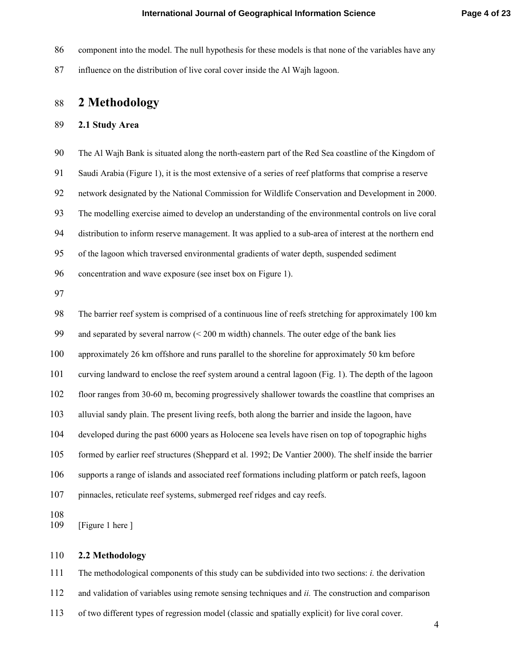component into the model. The null hypothesis for these models is that none of the variables have any

influence on the distribution of live coral cover inside the Al Wajh lagoon.

# **2 Methodology**

### **2.1 Study Area**

The Al Wajh Bank is situated along the north-eastern part of the Red Sea coastline of the Kingdom of Saudi Arabia (Figure 1), it is the most extensive of a series of reef platforms that comprise a reserve network designated by the National Commission for Wildlife Conservation and Development in 2000. The modelling exercise aimed to develop an understanding of the environmental controls on live coral distribution to inform reserve management. It was applied to a sub-area of interest at the northern end of the lagoon which traversed environmental gradients of water depth, suspended sediment concentration and wave exposure (see inset box on Figure 1). The barrier reef system is comprised of a continuous line of reefs stretching for approximately 100 km and separated by several narrow (< 200 m width) channels. The outer edge of the bank lies approximately 26 km offshore and runs parallel to the shoreline for approximately 50 km before curving landward to enclose the reef system around a central lagoon (Fig. 1). The depth of the lagoon floor ranges from 30-60 m, becoming progressively shallower towards the coastline that comprises an alluvial sandy plain. The present living reefs, both along the barrier and inside the lagoon, have developed during the past 6000 years as Holocene sea levels have risen on top of topographic highs formed by earlier reef structures (Sheppard et al. 1992; De Vantier 2000). The shelf inside the barrier supports a range of islands and associated reef formations including platform or patch reefs, lagoon pinnacles, reticulate reef systems, submerged reef ridges and cay reefs.  $\frac{108}{109}$ [Figure 1 here ] **2.2 Methodology** 

The methodological components of this study can be subdivided into two sections: *i.* the derivation and validation of variables using remote sensing techniques and *ii.* The construction and comparison of two different types of regression model (classic and spatially explicit) for live coral cover.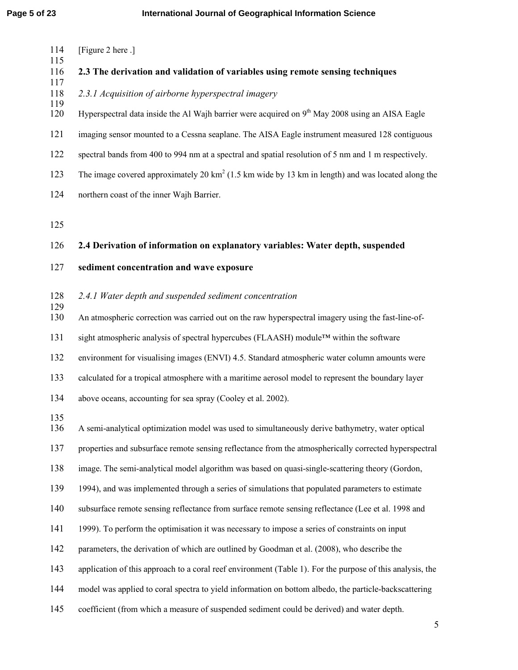| 114<br>115 | [Figure 2 here.]                                                                                            |  |  |
|------------|-------------------------------------------------------------------------------------------------------------|--|--|
| 116<br>117 | 2.3 The derivation and validation of variables using remote sensing techniques                              |  |  |
| 118        | 2.3.1 Acquisition of airborne hyperspectral imagery                                                         |  |  |
| 119<br>120 | Hyperspectral data inside the Al Wajh barrier were acquired on 9 <sup>th</sup> May 2008 using an AISA Eagle |  |  |
| 121        | imaging sensor mounted to a Cessna seaplane. The AISA Eagle instrument measured 128 contiguous              |  |  |
| 122        | spectral bands from 400 to 994 nm at a spectral and spatial resolution of 5 nm and 1 m respectively.        |  |  |
| 123        | The image covered approximately 20 $km^2$ (1.5 km wide by 13 km in length) and was located along the        |  |  |
| 124        | northern coast of the inner Wajh Barrier.                                                                   |  |  |
| 125        |                                                                                                             |  |  |
| 126        | 2.4 Derivation of information on explanatory variables: Water depth, suspended                              |  |  |
| 127        | sediment concentration and wave exposure                                                                    |  |  |
|            |                                                                                                             |  |  |
| 128<br>129 | 2.4.1 Water depth and suspended sediment concentration                                                      |  |  |
| 130        | An atmospheric correction was carried out on the raw hyperspectral imagery using the fast-line-of-          |  |  |
| 131        | sight atmospheric analysis of spectral hypercubes (FLAASH) module™ within the software                      |  |  |
| 132        | environment for visualising images (ENVI) 4.5. Standard atmospheric water column amounts were               |  |  |
| 133        | calculated for a tropical atmosphere with a maritime aerosol model to represent the boundary layer          |  |  |
| 134        | above oceans, accounting for sea spray (Cooley et al. 2002).                                                |  |  |
| 135<br>136 | A semi-analytical optimization model was used to simultaneously derive bathymetry, water optical            |  |  |
| 137        | properties and subsurface remote sensing reflectance from the atmospherically corrected hyperspectral       |  |  |
| 138        | image. The semi-analytical model algorithm was based on quasi-single-scattering theory (Gordon,             |  |  |
| 139        | 1994), and was implemented through a series of simulations that populated parameters to estimate            |  |  |
| 140        | subsurface remote sensing reflectance from surface remote sensing reflectance (Lee et al. 1998 and          |  |  |
| 141        | 1999). To perform the optimisation it was necessary to impose a series of constraints on input              |  |  |
| 142        | parameters, the derivation of which are outlined by Goodman et al. (2008), who describe the                 |  |  |
| 143        | application of this approach to a coral reef environment (Table 1). For the purpose of this analysis, the   |  |  |
| 144        | model was applied to coral spectra to yield information on bottom albedo, the particle-backscattering       |  |  |
| 145        | coefficient (from which a measure of suspended sediment could be derived) and water depth.                  |  |  |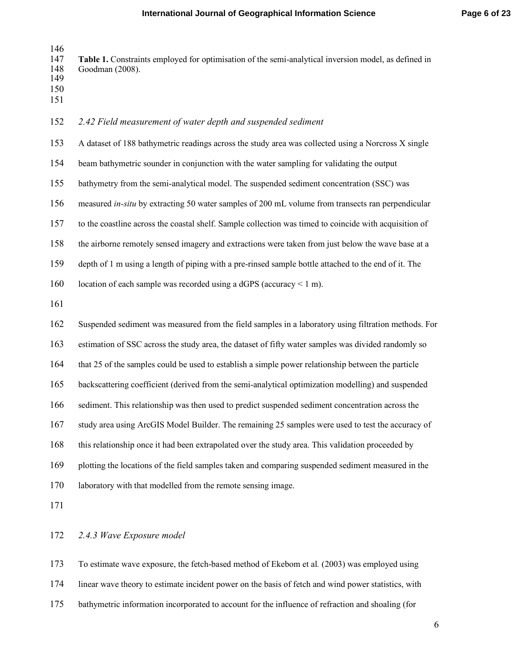| 146<br>147<br>148<br>149<br>150<br>151 | Table 1. Constraints employed for optimisation of the semi-analytical inversion model, as defined in<br>Goodman (2008). |
|----------------------------------------|-------------------------------------------------------------------------------------------------------------------------|
| 152                                    | 2.42 Field measurement of water depth and suspended sediment                                                            |
| 153                                    | A dataset of 188 bathymetric readings across the study area was collected using a Norcross X single                     |
| 154                                    | beam bathymetric sounder in conjunction with the water sampling for validating the output                               |
| 155                                    | bathymetry from the semi-analytical model. The suspended sediment concentration (SSC) was                               |
| 156                                    | measured in-situ by extracting 50 water samples of 200 mL volume from transects ran perpendicular                       |
| 157                                    | to the coastline across the coastal shelf. Sample collection was timed to coincide with acquisition of                  |
| 158                                    | the airborne remotely sensed imagery and extractions were taken from just below the wave base at a                      |
| 159                                    | depth of 1 m using a length of piping with a pre-rinsed sample bottle attached to the end of it. The                    |
| 160                                    | location of each sample was recorded using a dGPS (accuracy $\leq 1$ m).                                                |
| 161                                    |                                                                                                                         |
| 162                                    | Suspended sediment was measured from the field samples in a laboratory using filtration methods. For                    |
|                                        |                                                                                                                         |
| 163                                    | estimation of SSC across the study area, the dataset of fifty water samples was divided randomly so                     |
| 164                                    | that 25 of the samples could be used to establish a simple power relationship between the particle                      |
| 165                                    | backscattering coefficient (derived from the semi-analytical optimization modelling) and suspended                      |
| 166                                    | sediment. This relationship was then used to predict suspended sediment concentration across the                        |
| 167                                    | study area using ArcGIS Model Builder. The remaining 25 samples were used to test the accuracy of                       |
| 168                                    | this relationship once it had been extrapolated over the study area. This validation proceeded by                       |
| 169                                    | plotting the locations of the field samples taken and comparing suspended sediment measured in the                      |
| 170                                    | laboratory with that modelled from the remote sensing image.                                                            |
| 171                                    |                                                                                                                         |

To estimate wave exposure, the fetch-based method of Ekebom et al*.* (2003) was employed using linear wave theory to estimate incident power on the basis of fetch and wind power statistics, with bathymetric information incorporated to account for the influence of refraction and shoaling (for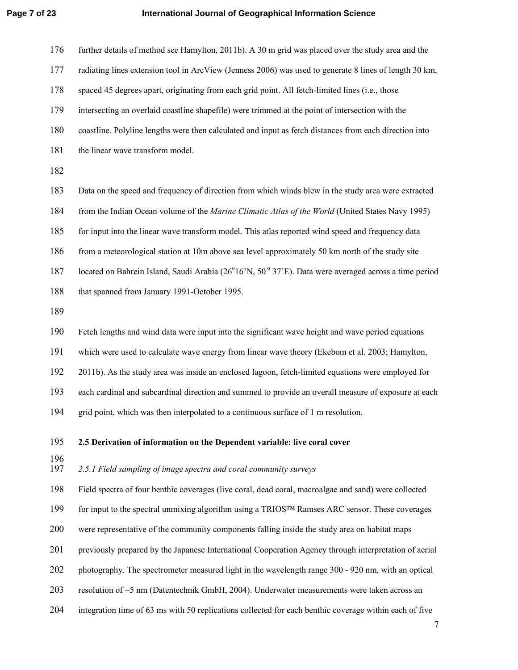| 176 | further details of method see Hamylton, 2011b). A 30 m grid was placed over the study area and the     |
|-----|--------------------------------------------------------------------------------------------------------|
| 177 | radiating lines extension tool in ArcView (Jenness 2006) was used to generate 8 lines of length 30 km, |
| 178 | spaced 45 degrees apart, originating from each grid point. All fetch-limited lines (i.e., those        |
| 179 | intersecting an overlaid coastline shapefile) were trimmed at the point of intersection with the       |
| 180 | coastline. Polyline lengths were then calculated and input as fetch distances from each direction into |
| 181 | the linear wave transform model.                                                                       |
| 182 |                                                                                                        |
| 183 | Data on the speed and frequency of direction from which winds blew in the study area were extracted    |
| 184 | from the Indian Ocean volume of the Marine Climatic Atlas of the World (United States Navy 1995)       |
| 185 | for input into the linear wave transform model. This atlas reported wind speed and frequency data      |
| 186 | from a meteorological station at 10m above sea level approximately 50 km north of the study site       |
| 187 | located on Bahrein Island, Saudi Arabia (26°16'N, 50° 37'E). Data were averaged across a time period   |
| 188 | that spanned from January 1991-October 1995.                                                           |
| 189 |                                                                                                        |
| 190 | Fetch lengths and wind data were input into the significant wave height and wave period equations      |
| 191 | which were used to calculate wave energy from linear wave theory (Ekebom et al. 2003; Hamylton,        |
| 192 | 2011b). As the study area was inside an enclosed lagoon, fetch-limited equations were employed for     |
| 193 | each cardinal and subcardinal direction and summed to provide an overall measure of exposure at each   |
| 194 | grid point, which was then interpolated to a continuous surface of 1 m resolution.                     |
| 195 | 2.5 Derivation of information on the Dependent variable: live coral cover                              |
| 196 |                                                                                                        |
| 197 | 2.5.1 Field sampling of image spectra and coral community surveys                                      |
| 198 | Field spectra of four benthic coverages (live coral, dead coral, macroalgae and sand) were collected   |
| 199 | for input to the spectral unmixing algorithm using a TRIOS™ Ramses ARC sensor. These coverages         |
| 200 | were representative of the community components falling inside the study area on habitat maps          |
| 201 | previously prepared by the Japanese International Cooperation Agency through interpretation of aerial  |
| 202 | photography. The spectrometer measured light in the wavelength range 300 - 920 nm, with an optical     |
| 203 | resolution of $\sim$ 5 nm (Datentechnik GmbH, 2004). Underwater measurements were taken across an      |

integration time of 63 ms with 50 replications collected for each benthic coverage within each of five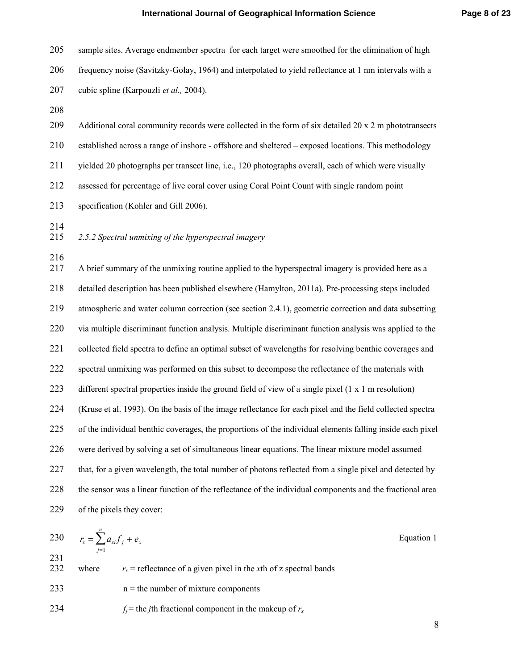| 205        | sample sites. Average endmember spectra for each target were smoothed for the elimination of high           |
|------------|-------------------------------------------------------------------------------------------------------------|
| 206        | frequency noise (Savitzky-Golay, 1964) and interpolated to yield reflectance at 1 nm intervals with a       |
| 207        | cubic spline (Karpouzli et al., 2004).                                                                      |
| 208        |                                                                                                             |
| 209        | Additional coral community records were collected in the form of six detailed 20 x 2 m phototransects       |
| 210        | established across a range of inshore - offshore and sheltered – exposed locations. This methodology        |
| 211        | yielded 20 photographs per transect line, i.e., 120 photographs overall, each of which were visually        |
| 212        | assessed for percentage of live coral cover using Coral Point Count with single random point                |
| 213        | specification (Kohler and Gill 2006).                                                                       |
| 214<br>215 | 2.5.2 Spectral unmixing of the hyperspectral imagery                                                        |
| 216<br>217 | A brief summary of the unmixing routine applied to the hyperspectral imagery is provided here as a          |
| 218        | detailed description has been published elsewhere (Hamylton, 2011a). Pre-processing steps included          |
| 219        | atmospheric and water column correction (see section 2.4.1), geometric correction and data subsetting       |
| 220        | via multiple discriminant function analysis. Multiple discriminant function analysis was applied to the     |
| 221        | collected field spectra to define an optimal subset of wavelengths for resolving benthic coverages and      |
| 222        | spectral unmixing was performed on this subset to decompose the reflectance of the materials with           |
| 223        | different spectral properties inside the ground field of view of a single pixel $(1 \times 1$ m resolution) |
| 224        | (Kruse et al. 1993). On the basis of the image reflectance for each pixel and the field collected spectra   |
| 225        | of the individual benthic coverages, the proportions of the individual elements falling inside each pixel   |
| 226        | were derived by solving a set of simultaneous linear equations. The linear mixture model assumed            |
| 227        | that, for a given wavelength, the total number of photons reflected from a single pixel and detected by     |
| 228        | the sensor was a linear function of the reflectance of the individual components and the fractional area    |
| 229        | of the pixels they cover:                                                                                   |
| 230        | $r = \sum_{n=0}^{n} a_n f_n + e_n$<br>Equation 1                                                            |

 $r_x = \sum a_{xi} f_j + e_x$ *j*=1 230  $r_x = \sum a_{x,i} f_j + e_x$  Equation 1 231<br>232 where  $r_x$  = reflectance of a given pixel in the *x*th of z spectral bands 233  $n =$  the number of mixture components

234  $f_j$  = the *j*th fractional component in the makeup of  $r_x$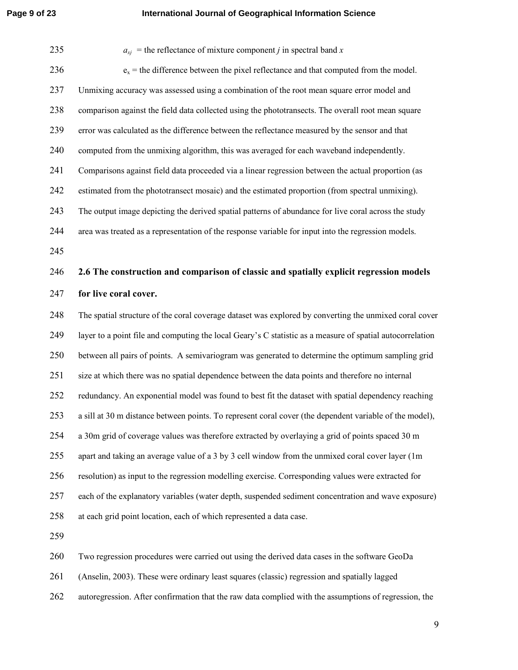| 235 | $a_{xi}$ = the reflectance of mixture component <i>j</i> in spectral band <i>x</i>                        |
|-----|-----------------------------------------------------------------------------------------------------------|
| 236 | $e_x$ = the difference between the pixel reflectance and that computed from the model.                    |
| 237 | Unmixing accuracy was assessed using a combination of the root mean square error model and                |
| 238 | comparison against the field data collected using the phototransects. The overall root mean square        |
| 239 | error was calculated as the difference between the reflectance measured by the sensor and that            |
| 240 | computed from the unmixing algorithm, this was averaged for each waveband independently.                  |
| 241 | Comparisons against field data proceeded via a linear regression between the actual proportion (as        |
| 242 | estimated from the phototransect mosaic) and the estimated proportion (from spectral unmixing).           |
| 243 | The output image depicting the derived spatial patterns of abundance for live coral across the study      |
| 244 | area was treated as a representation of the response variable for input into the regression models.       |
| 245 |                                                                                                           |
| 246 | 2.6 The construction and comparison of classic and spatially explicit regression models                   |
| 247 | for live coral cover.                                                                                     |
| 248 | The spatial structure of the coral coverage dataset was explored by converting the unmixed coral cover    |
| 249 | layer to a point file and computing the local Geary's C statistic as a measure of spatial autocorrelation |
| 250 | between all pairs of points. A semivariogram was generated to determine the optimum sampling grid         |
| 251 | size at which there was no spatial dependence between the data points and therefore no internal           |
| 252 | redundancy. An exponential model was found to best fit the dataset with spatial dependency reaching       |
| 253 | a sill at 30 m distance between points. To represent coral cover (the dependent variable of the model),   |
| 254 | a 30m grid of coverage values was therefore extracted by overlaying a grid of points spaced 30 m          |
| 255 | apart and taking an average value of a 3 by 3 cell window from the unmixed coral cover layer (1m)         |
| 256 | resolution) as input to the regression modelling exercise. Corresponding values were extracted for        |
| 257 | each of the explanatory variables (water depth, suspended sediment concentration and wave exposure)       |
| 258 | at each grid point location, each of which represented a data case.                                       |
| 259 |                                                                                                           |
| 260 | Two regression procedures were carried out using the derived data cases in the software GeoDa             |
| 261 | (Anselin, 2003). These were ordinary least squares (classic) regression and spatially lagged              |

autoregression. After confirmation that the raw data complied with the assumptions of regression, the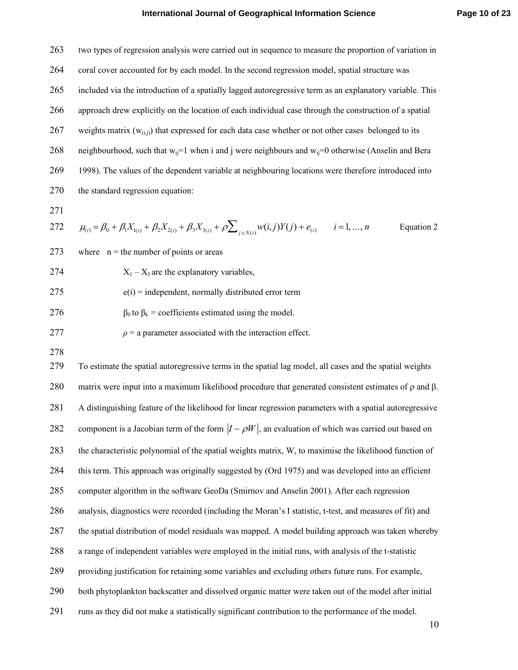#### **International Journal of Geographical Information Science Page 10 of 23**

two types of regression analysis were carried out in sequence to measure the proportion of variation in 264 coral cover accounted for by each model. In the second regression model, spatial structure was included via the introduction of a spatially lagged autoregressive term as an explanatory variable. This approach drew explicitly on the location of each individual case through the construction of a spatial 267 weights matrix  $(w_{(i)})$  that expressed for each data case whether or not other cases belonged to its 268 neighbourhood, such that w<sub>ij</sub>=1 when i and j were neighbours and w<sub>ij</sub>=0 otherwise (Anselin and Bera 1998). The values of the dependent variable at neighbouring locations were therefore introduced into the standard regression equation:

271

272 
$$
\mu_{(i)} = \beta_0 + \beta_1 X_{1(i)} + \beta_2 X_{2(i)} + \beta_3 X_{3(i)} + \rho \sum_{j \in N(i)} w(i,j)Y(j) + e_{(i)} \qquad i = 1, ..., n
$$
 Equation 2

273 where  $n =$  the number of points or areas

274  $X_1 - X_3$  are the explanatory variables,

 $275$  e(i) = independent, normally distributed error term

276  $\beta_0$  to  $\beta_k$  = coefficients estimated using the model.

- 277  $\rho =$  a parameter associated with the interaction effect.
- 278

To estimate the spatial autoregressive terms in the spatial lag model, all cases and the spatial weights 280 matrix were input into a maximum likelihood procedure that generated consistent estimates of  $\rho$  and  $\beta$ . A distinguishing feature of the likelihood for linear regression parameters with a spatial autoregressive 282 component is a Jacobian term of the form  $|I - \rho W|$ , an evaluation of which was carried out based on the characteristic polynomial of the spatial weights matrix, W, to maximise the likelihood function of this term. This approach was originally suggested by (Ord 1975) and was developed into an efficient computer algorithm in the software GeoDa (Smirnov and Anselin 2001). After each regression analysis, diagnostics were recorded (including the Moran's I statistic, t-test, and measures of fit) and the spatial distribution of model residuals was mapped. A model building approach was taken whereby a range of independent variables were employed in the initial runs, with analysis of the t-statistic providing justification for retaining some variables and excluding others future runs. For example, both phytoplankton backscatter and dissolved organic matter were taken out of the model after initial runs as they did not make a statistically significant contribution to the performance of the model.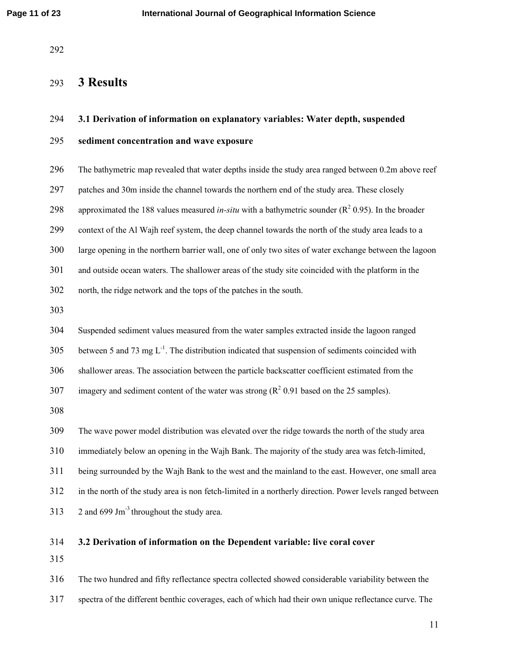# **3 Results**

### **3.1 Derivation of information on explanatory variables: Water depth, suspended**

### **sediment concentration and wave exposure**

The bathymetric map revealed that water depths inside the study area ranged between 0.2m above reef patches and 30m inside the channel towards the northern end of the study area. These closely 298 approximated the 188 values measured *in-situ* with a bathymetric sounder ( $\mathbb{R}^2$  0.95). In the broader context of the Al Wajh reef system, the deep channel towards the north of the study area leads to a large opening in the northern barrier wall, one of only two sites of water exchange between the lagoon and outside ocean waters. The shallower areas of the study site coincided with the platform in the

north, the ridge network and the tops of the patches in the south.

Suspended sediment values measured from the water samples extracted inside the lagoon ranged

305 between 5 and 73 mg  $L^{-1}$ . The distribution indicated that suspension of sediments coincided with

shallower areas. The association between the particle backscatter coefficient estimated from the

307 imagery and sediment content of the water was strong  $(R^2 0.91$  based on the 25 samples).

The wave power model distribution was elevated over the ridge towards the north of the study area

immediately below an opening in the Wajh Bank. The majority of the study area was fetch-limited,

being surrounded by the Wajh Bank to the west and the mainland to the east. However, one small area

in the north of the study area is non fetch-limited in a northerly direction. Power levels ranged between

313 and 699 Jm<sup>-3</sup> throughout the study area.

### **3.2 Derivation of information on the Dependent variable: live coral cover**

The two hundred and fifty reflectance spectra collected showed considerable variability between the spectra of the different benthic coverages, each of which had their own unique reflectance curve. The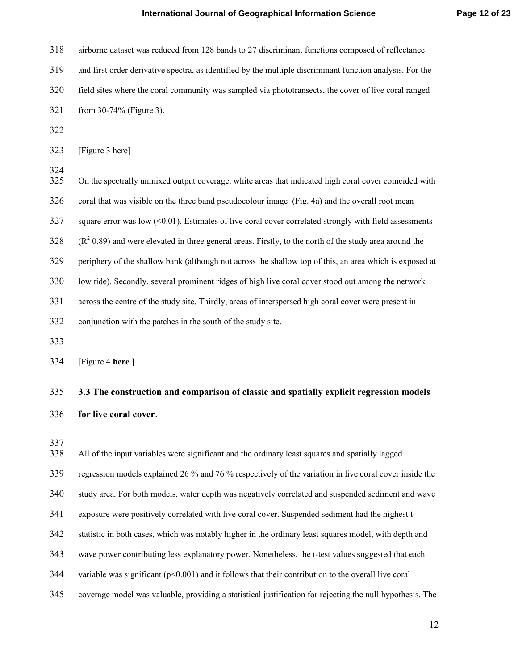## **International Journal of Geographical Information Science Page 12 of 23**

|            | airborne dataset was reduced from 128 bands to 27 discriminant functions composed of reflectance          |  |  |
|------------|-----------------------------------------------------------------------------------------------------------|--|--|
| 319        | and first order derivative spectra, as identified by the multiple discriminant function analysis. For the |  |  |
| 320        | field sites where the coral community was sampled via phototransects, the cover of live coral ranged      |  |  |
| 321        | from 30-74% (Figure 3).                                                                                   |  |  |
| 322        |                                                                                                           |  |  |
| 323        | [Figure 3 here]                                                                                           |  |  |
| 324<br>325 | On the spectrally unmixed output coverage, white areas that indicated high coral cover coincided with     |  |  |
| 326        | coral that was visible on the three band pseudocolour image (Fig. 4a) and the overall root mean           |  |  |
| 327        | square error was low $($ <0.01). Estimates of live coral cover correlated strongly with field assessments |  |  |
| 328        | $(R2 0.89)$ and were elevated in three general areas. Firstly, to the north of the study area around the  |  |  |
| 329        | periphery of the shallow bank (although not across the shallow top of this, an area which is exposed at   |  |  |
| 330        | low tide). Secondly, several prominent ridges of high live coral cover stood out among the network        |  |  |
| 331        | across the centre of the study site. Thirdly, areas of interspersed high coral cover were present in      |  |  |
| 332        | conjunction with the patches in the south of the study site.                                              |  |  |
| 333        |                                                                                                           |  |  |
|            |                                                                                                           |  |  |
| 334        | [Figure 4 here]                                                                                           |  |  |
| 335        | 3.3 The construction and comparison of classic and spatially explicit regression models                   |  |  |
| 336        | for live coral cover.                                                                                     |  |  |
| 337<br>338 | All of the input variables were significant and the ordinary least squares and spatially lagged           |  |  |
| 339        | regression models explained 26 % and 76 % respectively of the variation in live coral cover inside the    |  |  |
| 340        | study area. For both models, water depth was negatively correlated and suspended sediment and wave        |  |  |
| 341        | exposure were positively correlated with live coral cover. Suspended sediment had the highest t-          |  |  |
| 342        | statistic in both cases, which was notably higher in the ordinary least squares model, with depth and     |  |  |
| 343        | wave power contributing less explanatory power. Nonetheless, the t-test values suggested that each        |  |  |
| 344        | variable was significant $(p<0.001)$ and it follows that their contribution to the overall live coral     |  |  |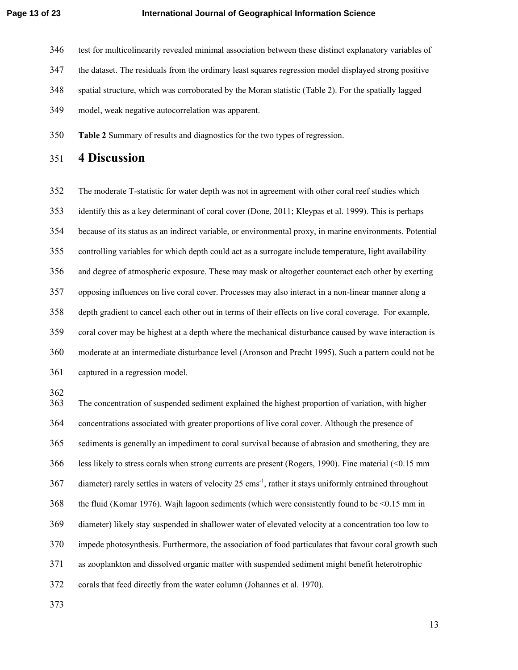- test for multicolinearity revealed minimal association between these distinct explanatory variables of
- the dataset. The residuals from the ordinary least squares regression model displayed strong positive
- spatial structure, which was corroborated by the Moran statistic (Table 2). For the spatially lagged
- model, weak negative autocorrelation was apparent.
- **Table 2** Summary of results and diagnostics for the two types of regression.

### **4 Discussion**

The moderate T-statistic for water depth was not in agreement with other coral reef studies which identify this as a key determinant of coral cover (Done, 2011; Kleypas et al. 1999). This is perhaps because of its status as an indirect variable, or environmental proxy, in marine environments. Potential controlling variables for which depth could act as a surrogate include temperature, light availability and degree of atmospheric exposure. These may mask or altogether counteract each other by exerting opposing influences on live coral cover. Processes may also interact in a non-linear manner along a depth gradient to cancel each other out in terms of their effects on live coral coverage. For example, coral cover may be highest at a depth where the mechanical disturbance caused by wave interaction is moderate at an intermediate disturbance level (Aronson and Precht 1995). Such a pattern could not be captured in a regression model.

The concentration of suspended sediment explained the highest proportion of variation, with higher concentrations associated with greater proportions of live coral cover. Although the presence of sediments is generally an impediment to coral survival because of abrasion and smothering, they are less likely to stress corals when strong currents are present (Rogers, 1990). Fine material (<0.15 mm diameter) rarely settles in waters of velocity 25 cms<sup>-1</sup>, rather it stays uniformly entrained throughout the fluid (Komar 1976). Wajh lagoon sediments (which were consistently found to be <0.15 mm in diameter) likely stay suspended in shallower water of elevated velocity at a concentration too low to impede photosynthesis. Furthermore, the association of food particulates that favour coral growth such as zooplankton and dissolved organic matter with suspended sediment might benefit heterotrophic corals that feed directly from the water column (Johannes et al. 1970).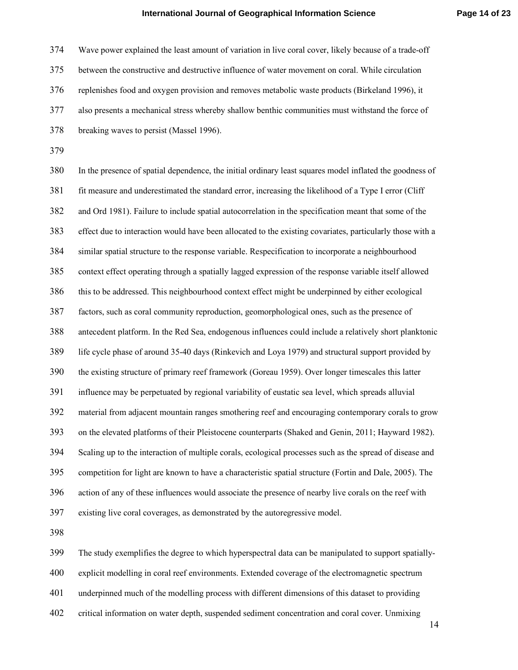#### **International Journal of Geographical Information Science Page 14 of 23**

Wave power explained the least amount of variation in live coral cover, likely because of a trade-off between the constructive and destructive influence of water movement on coral. While circulation replenishes food and oxygen provision and removes metabolic waste products (Birkeland 1996), it also presents a mechanical stress whereby shallow benthic communities must withstand the force of breaking waves to persist (Massel 1996).

In the presence of spatial dependence, the initial ordinary least squares model inflated the goodness of fit measure and underestimated the standard error, increasing the likelihood of a Type I error (Cliff and Ord 1981). Failure to include spatial autocorrelation in the specification meant that some of the effect due to interaction would have been allocated to the existing covariates, particularly those with a similar spatial structure to the response variable. Respecification to incorporate a neighbourhood context effect operating through a spatially lagged expression of the response variable itself allowed this to be addressed. This neighbourhood context effect might be underpinned by either ecological factors, such as coral community reproduction, geomorphological ones, such as the presence of antecedent platform. In the Red Sea, endogenous influences could include a relatively short planktonic life cycle phase of around 35-40 days (Rinkevich and Loya 1979) and structural support provided by the existing structure of primary reef framework (Goreau 1959). Over longer timescales this latter influence may be perpetuated by regional variability of eustatic sea level, which spreads alluvial material from adjacent mountain ranges smothering reef and encouraging contemporary corals to grow on the elevated platforms of their Pleistocene counterparts (Shaked and Genin, 2011; Hayward 1982). Scaling up to the interaction of multiple corals, ecological processes such as the spread of disease and competition for light are known to have a characteristic spatial structure (Fortin and Dale, 2005). The action of any of these influences would associate the presence of nearby live corals on the reef with existing live coral coverages, as demonstrated by the autoregressive model.

The study exemplifies the degree to which hyperspectral data can be manipulated to support spatially-explicit modelling in coral reef environments. Extended coverage of the electromagnetic spectrum underpinned much of the modelling process with different dimensions of this dataset to providing critical information on water depth, suspended sediment concentration and coral cover. Unmixing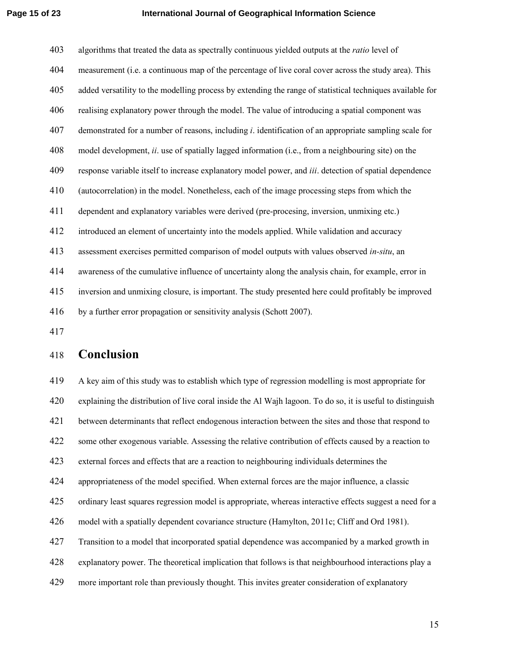| 403 | algorithms that treated the data as spectrally continuous yielded outputs at the ratio level of                |
|-----|----------------------------------------------------------------------------------------------------------------|
| 404 | measurement (i.e. a continuous map of the percentage of live coral cover across the study area). This          |
| 405 | added versatility to the modelling process by extending the range of statistical techniques available for      |
| 406 | realising explanatory power through the model. The value of introducing a spatial component was                |
| 407 | demonstrated for a number of reasons, including $i$ , identification of an appropriate sampling scale for      |
| 408 | model development, <i>ii.</i> use of spatially lagged information (i.e., from a neighbouring site) on the      |
| 409 | response variable itself to increase explanatory model power, and <i>iii</i> . detection of spatial dependence |
| 410 | (autocorrelation) in the model. Nonetheless, each of the image processing steps from which the                 |
| 411 | dependent and explanatory variables were derived (pre-procesing, inversion, unmixing etc.)                     |
| 412 | introduced an element of uncertainty into the models applied. While validation and accuracy                    |
| 413 | assessment exercises permitted comparison of model outputs with values observed in-situ, an                    |
| 414 | awareness of the cumulative influence of uncertainty along the analysis chain, for example, error in           |
| 415 | inversion and unmixing closure, is important. The study presented here could profitably be improved            |
| 416 | by a further error propagation or sensitivity analysis (Schott 2007).                                          |
|     |                                                                                                                |

# **Conclusion**

A key aim of this study was to establish which type of regression modelling is most appropriate for explaining the distribution of live coral inside the Al Wajh lagoon. To do so, it is useful to distinguish between determinants that reflect endogenous interaction between the sites and those that respond to some other exogenous variable. Assessing the relative contribution of effects caused by a reaction to external forces and effects that are a reaction to neighbouring individuals determines the appropriateness of the model specified. When external forces are the major influence, a classic ordinary least squares regression model is appropriate, whereas interactive effects suggest a need for a model with a spatially dependent covariance structure (Hamylton, 2011c; Cliff and Ord 1981). Transition to a model that incorporated spatial dependence was accompanied by a marked growth in explanatory power. The theoretical implication that follows is that neighbourhood interactions play a more important role than previously thought. This invites greater consideration of explanatory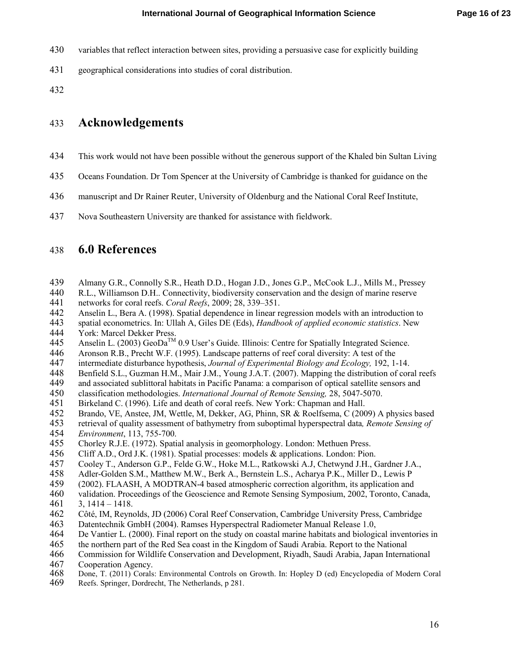- 430 variables that reflect interaction between sites, providing a persuasive case for explicitly building
- 431 geographical considerations into studies of coral distribution.
- 432

# 433 **Acknowledgements**

- 434 This work would not have been possible without the generous support of the Khaled bin Sultan Living
- 435 Oceans Foundation. Dr Tom Spencer at the University of Cambridge is thanked for guidance on the
- 436 manuscript and Dr Rainer Reuter, University of Oldenburg and the National Coral Reef Institute,
- 437 Nova Southeastern University are thanked for assistance with fieldwork.

# 438 **6.0 References**

- 439 Almany G.R., Connolly S.R., Heath D.D., Hogan J.D., Jones G.P., McCook L.J., Mills M., Pressey
- 440 R.L., Williamson D.H.. Connectivity, biodiversity conservation and the design of marine reserve<br>441 networks for coral reefs. Coral Reefs, 2009; 28, 339–351.
- 441 networks for coral reefs. *Coral Reefs*, 2009; 28, 339–351.
- 442 Anselin L., Bera A. (1998). Spatial dependence in linear regression models with an introduction to<br>443 spatial econometrics. In: Ullah A. Giles DE (Eds). *Handbook of applied economic statistics*. New
- 443 spatial econometrics. In: Ullah A, Giles DE (Eds), *Handbook of applied economic statistics*. New
- 444 York: Marcel Dekker Press.<br>445 Anselin L. (2003) GeoDa<sup>TM</sup> Anselin L. (2003)  $Ge_0Da^{TM}$  0.9 User's Guide. Illinois: Centre for Spatially Integrated Science.
- 446 Aronson R.B., Precht W.F. (1995). Landscape patterns of reef coral diversity: A test of the<br>447 intermediate disturbance hypothesis, *Journal of Experimental Biology and Ecology*. 192, 1-
- 447 intermediate disturbance hypothesis, *Journal of Experimental Biology and Ecology,* 192, 1-14.
- 448 Benfield S.L., Guzman H.M., Mair J.M., Young J.A.T. (2007). Mapping the distribution of coral reefs<br>449 and associated sublittoral habitats in Pacific Panama: a comparison of optical satellite sensors and
- 449 and associated sublittoral habitats in Pacific Panama: a comparison of optical satellite sensors and classification methodologies. *International Journal of Remote Sensing*. 28, 5047-5070.
- 450 classification methodologies. *International Journal of Remote Sensing,* 28, 5047-5070.
- 451 Birkeland C. (1996). Life and death of coral reefs. New York: Chapman and Hall.<br>452 Brando, VE, Anstee, JM, Wettle, M, Dekker, AG, Phinn, SR & Roelfsema, C (200
- 452 Brando, VE, Anstee, JM, Wettle, M, Dekker, AG, Phinn, SR & Roelfsema, C (2009) A physics based<br>453 etrieval of quality assessment of bathymetry from suboptimal hyperspectral data, *Remote Sensing of*
- 453 retrieval of quality assessment of bathymetry from suboptimal hyperspectral data*, Remote Sensing of*
- 454 *Environment*, 113, 755-700. 455 Chorley R.J.E. (1972). Spatial analysis in geomorphology. London: Methuen Press.
- 
- 456 Cliff A.D., Ord J.K. (1981). Spatial processes: models & applications. London: Pion.<br>457 Cooley T., Anderson G.P., Felde G.W., Hoke M.L., Ratkowski A.J, Chetwynd J.H., C 457 Cooley T., Anderson G.P., Felde G.W., Hoke M.L., Ratkowski A.J, Chetwynd J.H., Gardner J.A., 458 Adler-Golden S.M., Matthew M.W., Berk A., Bernstein L.S., Acharya P.K., Miller D., Lewis P
- 
- 458 Adler-Golden S.M., Matthew M.W., Berk A., Bernstein L.S., Acharya P.K., Miller D., Lewis P<br>459 (2002). FLAASH, A MODTRAN-4 based atmospheric correction algorithm, its application and
- 459 (2002). FLAASH, A MODTRAN-4 based atmospheric correction algorithm, its application and 460 validation. Proceedings of the Geoscience and Remote Sensing Symposium, 2002, Toronto, Canada, 461 3, 1414 – 1418.  $3, 1414 - 1418.$
- 462 Côté, IM, Reynolds, JD (2006) Coral Reef Conservation, Cambridge University Press, Cambridge
- 463 Datentechnik GmbH (2004). Ramses Hyperspectral Radiometer Manual Release 1.0,
- 
- 464 De Vantier L. (2000). Final report on the study on coastal marine habitats and biological inventories in the northern part of the Red Sea coast in the Kingdom of Saudi Arabia. Report to the National
- 465 the northern part of the Red Sea coast in the Kingdom of Saudi Arabia. Report to the National<br>466 Commission for Wildlife Conservation and Development, Rivadh, Saudi Arabia, Japan Interna 466 Commission for Wildlife Conservation and Development, Riyadh, Saudi Arabia, Japan International
- 467 Cooperation Agency.<br>468 Done, T. (2011) Corals 468 Done, T. (2011) Corals: Environmental Controls on Growth. In: Hopley D (ed) Encyclopedia of Modern Coral Reefs. Springer, Dordrecht, The Netherlands, p 281.
- Reefs. Springer, Dordrecht, The Netherlands, p 281.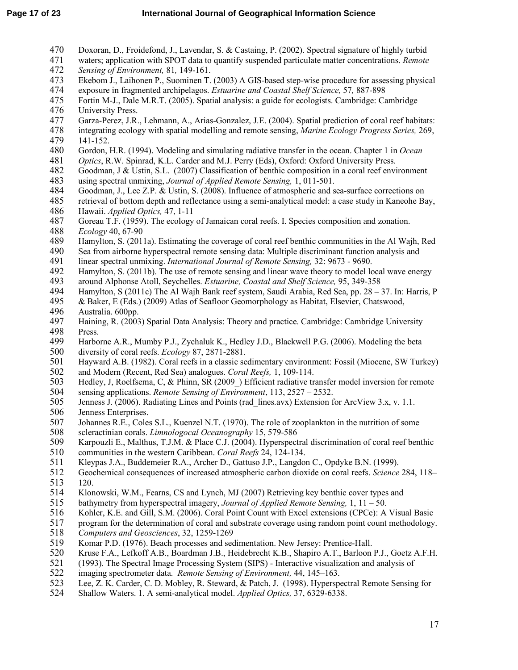- 470 Doxoran, D., Froidefond, J., Lavendar, S. & Castaing, P. (2002). Spectral signature of highly turbid waters; application with SPOT data to quantify suspended particulate matter concentrations. *Remote*
- 471 waters; application with SPOT data to quantify suspended particulate matter concentrations. *Remote*
- 472 *Sensing of Environment,* 81*,* 149-161.
- 473 Ekebom J., Laihonen P., Suominen T. (2003) A GIS-based step-wise procedure for assessing physical<br>474 exposure in fragmented archipelagos. *Estuarine and Coastal Shelf Science*, 57, 887-898
- 474 exposure in fragmented archipelagos. *Estuarine and Coastal Shelf Science,* 57*,* 887-898 475 Fortin M-J., Dale M.R.T. (2005). Spatial analysis: a guide for ecologists. Cambridge: Cambridge
- 
- 476 University Press.<br>477 Garza-Perez, J.R.
- 477 Garza-Perez, J.R., Lehmann, A., Arias-Gonzalez, J.E. (2004). Spatial prediction of coral reef habitats:<br>478 integrating ecology with spatial modelling and remote sensing, *Marine Ecology Progress Series*, 269, 478 integrating ecology with spatial modelling and remote sensing, *Marine Ecology Progress Series,* 269,
- 479 141-152.<br>480 Gordon, 1
- 480 Gordon, H.R. (1994). Modeling and simulating radiative transfer in the ocean. Chapter 1 in *Ocean*
- 481 *Optics*, R.W. Spinrad, K.L. Carder and M.J. Perry (Eds), Oxford: Oxford University Press.<br>482 Goodman. J & Ustin. S.L. (2007) Classification of benthic composition in a coral reef envi
- 482 Goodman, J & Ustin, S.L. (2007) Classification of benthic composition in a coral reef environment using spectral unmixing, *Journal of Applied Remote Sensing*, 1, 011-501.
- 483 using spectral unmixing, *Journal of Applied Remote Sensing*, 1, 011-501.<br>484 Goodman, J., Lee Z.P. & Ustin, S. (2008). Influence of atmospheric and s 484 Goodman, J., Lee Z.P. & Ustin, S. (2008). Influence of atmospheric and sea-surface corrections on retrieval of bottom depth and reflectance using a semi-analytical model: a case study in Kaneohe Ba
- 485 retrieval of bottom depth and reflectance using a semi-analytical model: a case study in Kaneohe Bay, 486 Hawaii. Applied Optics, 47, 1-11
- 486 Hawaii. *Applied Optics,* 47, 1-11 487 Goreau T.F. (1959). The ecology of Jamaican coral reefs. I. Species composition and zonation.<br>488 Ecology 40, 67-90
- 488 *Ecology* 40, 67-90
- 489 Hamylton, S. (2011a). Estimating the coverage of coral reef benthic communities in the Al Wajh, Red<br>490 Sea from airborne hyperspectral remote sensing data: Multiple discriminant function analysis and
- 490 Sea from airborne hyperspectral remote sensing data: Multiple discriminant function analysis and<br>491 linear spectral unmixing. *International Journal of Remote Sensing*, 32: 9673 9690.
- 491 linear spectral unmixing. *International Journal of Remote Sensing,* 32: 9673 9690.
- 492 Hamylton, S. (2011b). The use of remote sensing and linear wave theory to model local wave energy<br>493 around Alphonse Atoll. Sevchelles. *Estuarine. Coastal and Shelf Science*. 95, 349-358
- 493 around Alphonse Atoll, Seychelles. *Estuarine, Coastal and Shelf Science,* 95, 349-358
- 494 Hamylton, S (2011c) The Al Wajh Bank reef system, Saudi Arabia, Red Sea, pp. 28 37. In: Harris, P<br>495 & Baker, E (Eds.) (2009) Atlas of Seafloor Geomorphology as Habitat. Elsevier, Chatswood.
- 495 & Baker, E (Eds.) (2009) Atlas of Seafloor Geomorphology as Habitat, Elsevier, Chatswood,
- 496 Australia. 600pp.<br>497 Haining, R. (2003) 497 Haining, R. (2003) Spatial Data Analysis: Theory and practice. Cambridge: Cambridge University 498 Press.<br>499 Harbo
- Harborne A.R., Mumby P.J., Zychaluk K., Hedley J.D., Blackwell P.G. (2006). Modeling the beta 500 diversity of coral reefs. *Ecology* 87, 2871-2881.
- 501 Hayward A.B. (1982). Coral reefs in a classic sedimentary environment: Fossil (Miocene, SW Turkey)<br>502 and Modern (Recent, Red Sea) analogues. Coral Reefs, 1, 109-114.
- 502 and Modern (Recent, Red Sea) analogues. *Coral Reefs*, 1, 109-114.<br>503 Hedley, J, Roelfsema, C, & Phinn, SR (2009) Efficient radiative tr 503 Hedley, J, Roelfsema, C, & Phinn, SR (2009) Efficient radiative transfer model inversion for remote 504 sensing applications. *Remote Sensing of Environment*, 113, 2527 – 2532.
- 504 sensing applications. *Remote Sensing of Environment*, 113, 2527 2532.
- Jenness J. (2006). Radiating Lines and Points (rad lines.avx) Extension for ArcView 3.x, v. 1.1. 506 Jenness Enterprises.
- 507 Johannes R.E., Coles S.L., Kuenzel N.T. (1970). The role of zooplankton in the nutrition of some scleractinian corals. *Limnologocal Oceanography* 15, 579-586
- 
- 508 scleractinian corals. *Limnologocal Oceanography* 15, 579-586 509 Karpouzli E., Malthus, T.J.M. & Place C.J. (2004). Hyperspectral discrimination of coral reef benthic<br>510 communities in the western Caribbean. *Coral Reefs* 24, 124-134.
- 510 communities in the western Caribbean. *Coral Reefs* 24, 124-134.
- 511 Kleypas J.A., Buddemeier R.A., Archer D., Gattuso J.P., Langdon C., Opdyke B.N. (1999).<br>512 Geochemical consequences of increased atmospheric carbon dioxide on coral reefs. Science
- 512 Geochemical consequences of increased atmospheric carbon dioxide on coral reefs. *Science* 284, 118– 513 120.
- 514 Klonowski, W.M., Fearns, CS and Lynch, MJ (2007) Retrieving key benthic cover types and bathymetry from hyperspectral imagery, *Journal of Applied Remote Sensing*, 1, 11 50.
- 515 bathymetry from hyperspectral imagery, *Journal of Applied Remote Sensing*, 1, 11 50.<br>516 Kohler, K.E. and Gill, S.M. (2006). Coral Point Count with Excel extensions (CPCe): A
- 516 Kohler, K.E. and Gill, S.M. (2006). Coral Point Count with Excel extensions (CPCe): A Visual Basic
- 517 program for the determination of coral and substrate coverage using random point count methodology.<br>518 Computers and Geosciences, 32, 1259-1269
- 518 *Computers and Geosciences*, 32, 1259-1269
- 519 Komar P.D. (1976). Beach processes and sedimentation. New Jersey: Prentice-Hall.
- 520 Kruse F.A., Lefkoff A.B., Boardman J.B., Heidebrecht K.B., Shapiro A.T., Barloon P.J., Goetz A.F.H.<br>521 (1993). The Spectral Image Processing System (SIPS) Interactive visualization and analysis of
- 521 (1993). The Spectral Image Processing System (SIPS) Interactive visualization and analysis of imaging spectrometer data. *Remote Sensing of Environment*, 44, 145–163.
- 522 imaging spectrometer data. *Remote Sensing of Environment,* 44, 145–163.
- 523 Lee, Z. K. Carder, C. D. Mobley, R. Steward, & Patch, J. (1998). Hyperspectral Remote Sensing for Shallow Waters. 1. A semi-analytical model. *Applied Optics*, 37, 6329-6338.
- 524 Shallow Waters. 1. A semi-analytical model. *Applied Optics,* 37, 6329-6338.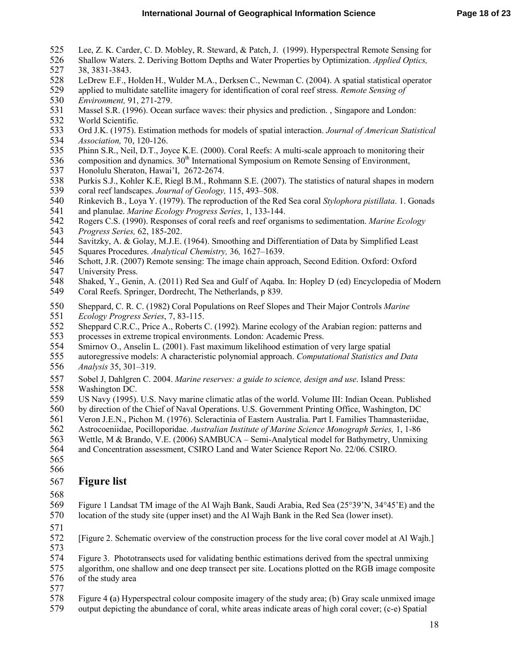- 525 Lee, Z. K. Carder, C. D. Mobley, R. Steward, & Patch, J. (1999). Hyperspectral Remote Sensing for Shallow Waters. 2. Deriving Bottom Depths and Water Properties by Optimization. Applied Optics.
- 526 Shallow Waters. 2. Deriving Bottom Depths and Water Properties by Optimization. *Applied Optics,*
- 527 38, 3831-3843.<br>528 LeDrew E.F., H

528 LeDrew E.F., Holden H., Wulder M.A., Derksen C., Newman C. (2004). A spatial statistical operator applied to multidate satellite imagery for identification of coral reef stress. *Remote Sensing of* 529 applied to multidate satellite imagery for identification of coral reef stress. *Remote Sensing of*  530 *Environment,* 91, 271-279.

- 531 Massel S.R. (1996). Ocean surface waves: their physics and prediction., Singapore and London:<br>532 World Scientific.
- 532 World Scientific.<br>533 Ord J.K. (1975). 533 Ord J.K. (1975). Estimation methods for models of spatial interaction. *Journal of American Statistical*  534 *Association*, 70, 120-126.<br>535 Phinn S.R., Neil, D.T., Joy
- 535 Phinn S.R., Neil, D.T., Joyce K.E. (2000). Coral Reefs: A multi-scale approach to monitoring their composition and dynamics.  $30<sup>th</sup>$  International Symposium on Remote Sensing of Environment.
- composition and dynamics. 30<sup>th</sup> International Symposium on Remote Sensing of Environment,
- 537 Honolulu Sheraton, Hawai'I, 2672-2674.<br>538 Purkis S.J., Kohler K.E. Riegl B.M., Rohn
- 538 Purkis S.J., Kohler K.E, Riegl B.M., Rohmann S.E. (2007). The statistics of natural shapes in modern coral reef landscapes. *Journal of Geology*, 115, 493–508.
- 539 coral reef landscapes. *Journal of Geology*, 115, 493–508.<br>540 Rinkevich B., Lova Y. (1979). The reproduction of the Re 540 Rinkevich B., Loya Y. (1979). The reproduction of the Red Sea coral *Stylophora pistillata*. 1. Gonads 541 and planulae. *Marine Ecology Progress Series*, 1, 133-144.
- 542 Rogers C.S. (1990). Responses of coral reefs and reef organisms to sedimentation. *Marine Ecology*
- 543 *Progress Series,* 62, 185-202.
- 544 Savitzky, A. & Golay, M.J.E. (1964). Smoothing and Differentiation of Data by Simplified Least<br>545 Squares Procedures. Analytical Chemistry, 36, 1627–1639. 545 Squares Procedures. *Analytical Chemistry,* 36*,* 1627–1639.
- 546 Schott, J.R. (2007) Remote sensing: The image chain approach, Second Edition. Oxford: Oxford<br>547 University Press.
- 547 University Press.<br>548 Shaked, Y., Geni 548 Shaked, Y., Genin, A. (2011) Red Sea and Gulf of Aqaba. In: Hopley D (ed) Encyclopedia of Modern Coral Reefs. Springer, Dordrecht, The Netherlands, p 839.
- 549 Coral Reefs. Springer, Dordrecht, The Netherlands, p 839.
- 550 Sheppard, C. R. C. (1982) Coral Populations on Reef Slopes and Their Major Controls *Marine*
- 551 *Ecology Progress Series*, 7, 83-115. 552 Sheppard C.R.C., Price A., Roberts C. (1992). Marine ecology of the Arabian region: patterns and processes in extreme tropical environments. London: Academic Press. processes in extreme tropical environments. London: Academic Press.
- 
- 554 Smirnov O., Anselin L. (2001). Fast maximum likelihood estimation of very large spatial<br>555 autoregressive models: A characteristic polynomial approach. Computational Statistics and 555 autoregressive models: A characteristic polynomial approach. *Computational Statistics and Data*  556 *Analysis* 35, 301–319.
- 557 Sobel J, Dahlgren C. 2004. *Marine reserves: a guide to science, design and use*. Island Press:
- 558 Washington DC.<br>559 US Navy (1995).
- 559 US Navy (1995). U.S. Navy marine climatic atlas of the world. Volume III: Indian Ocean. Published
- 560 by direction of the Chief of Naval Operations. U.S. Government Printing Office, Washington, DC<br>561 Veron J.E.N., Pichon M. (1976). Scleractinia of Eastern Australia. Part I. Families Thamnasteriida
- 561 Veron J.E.N., Pichon M. (1976). Scleractinia of Eastern Australia. Part I. Families Thamnasteriidae,  $562$  Astrocoeniidae, Pocilloporidae. Australian Institute of Marine Science Monograph Series, 1, 1-86
- 
- 562 Astrocoeniidae, Pocilloporidae. *Australian Institute of Marine Science Monograph Series*, 1, 1-86<br>563 Wettle, M & Brando, V.E. (2006) SAMBUCA Semi-Analytical model for Bathymetry, Unmixin Wettle, M & Brando, V.E. (2006) SAMBUCA – Semi-Analytical model for Bathymetry, Unmixing
- 564 and Concentration assessment, CSIRO Land and Water Science Report No. 22/06. CSIRO.
- 565 566

# 567 **Figure list**

- 568
- 569 Figure 1 Landsat TM image of the Al Wajh Bank, Saudi Arabia, Red Sea (25°39'N, 34°45'E) and the 570 location of the study site (upper inset) and the Al Wajh Bank in the Red Sea (lower inset).
- 571<br>572
- [Figure 2. Schematic overview of the construction process for the live coral cover model at Al Wajh.]
- 

573<br>574 574 Figure 3. Phototransects used for validating benthic estimations derived from the spectral unmixing algorithm, one shallow and one deep transect per site. Locations plotted on the RGB image composit

- 575 algorithm, one shallow and one deep transect per site. Locations plotted on the RGB image composite of the study area
- of the study area
- 577<br>578
- 578 Figure 4 **(**a) Hyperspectral colour composite imagery of the study area; (b) Gray scale unmixed image
- 579 output depicting the abundance of coral, white areas indicate areas of high coral cover; (c-e) Spatial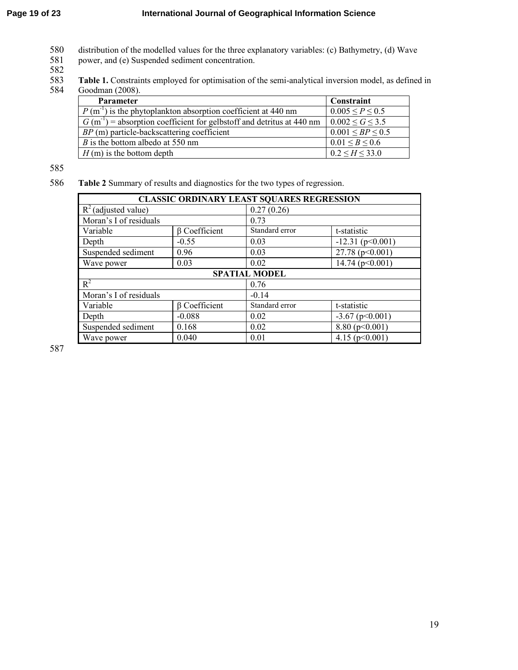- 580 distribution of the modelled values for the three explanatory variables: (c) Bathymetry, (d) Wave
- power, and (e) Suspended sediment concentration. 581<br>582<br>583
- 
- **Table 1.** Constraints employed for optimisation of the semi-analytical inversion model, as defined in Goodman (2008).
	- Goodman (2008).

| <b>Parameter</b>                                                                                          | <b>Constraint</b>      |
|-----------------------------------------------------------------------------------------------------------|------------------------|
| $P(m^{-1})$ is the phytoplankton absorption coefficient at 440 nm                                         | $0.005 \le P \le 0.5$  |
| $G$ (m <sup>-1</sup> ) = absorption coefficient for gelbstoff and detritus at $\overline{440 \text{ nm}}$ | $0.002 \le G \le 3.5$  |
| BP (m) particle-backscattering coefficient                                                                | $0.001 \le BP \le 0.5$ |
| B is the bottom albedo at 550 nm                                                                          | $0.01 \le B \le 0.6$   |
| $H(m)$ is the bottom depth                                                                                | $0.2 \leq H \leq 33.0$ |

585

586 **Table 2** Summary of results and diagnostics for the two types of regression.

| <b>CLASSIC ORDINARY LEAST SQUARES REGRESSION</b> |                     |                |                         |
|--------------------------------------------------|---------------------|----------------|-------------------------|
| $R^2$ (adjusted value)                           |                     | 0.27(0.26)     |                         |
| Moran's I of residuals                           |                     | 0.73           |                         |
| Variable                                         | $\beta$ Coefficient | Standard error | t-statistic             |
| Depth                                            | $-0.55$             | 0.03           | $-12.31$ (p $< 0.001$ ) |
| Suspended sediment                               | 0.96                | 0.03           | 27.78 ( $p<0.001$ )     |
| Wave power                                       | 0.03                | 0.02           | 14.74 ( $p<0.001$ )     |
| <b>SPATIAL MODEL</b>                             |                     |                |                         |
| $R^2$                                            |                     | 0.76           |                         |
| Moran's I of residuals                           |                     | $-0.14$        |                         |
| Variable                                         | $\beta$ Coefficient | Standard error | t-statistic             |
| Depth                                            | $-0.088$            | 0.02           | $-3.67$ (p $< 0.001$ )  |
| Suspended sediment                               | 0.168               | 0.02           | 8.80 (p<0.001)          |
| Wave power                                       | 0.040               | 0.01           | 4.15 ( $p<0.001$ )      |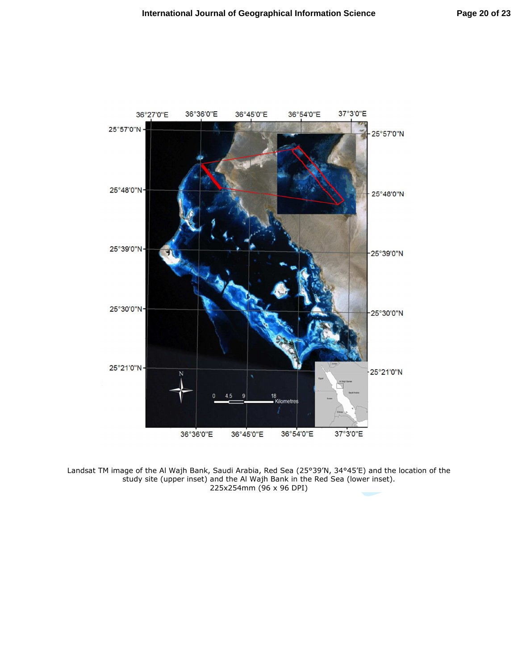

Landsat TM image of the Al Wajh Bank, Saudi Arabia, Red Sea (25°39'N, 34°45'E) and the location of the study site (upper inset) and the Al Wajh Bank in the Red Sea (lower inset). 225x254mm (96 x 96 DPI)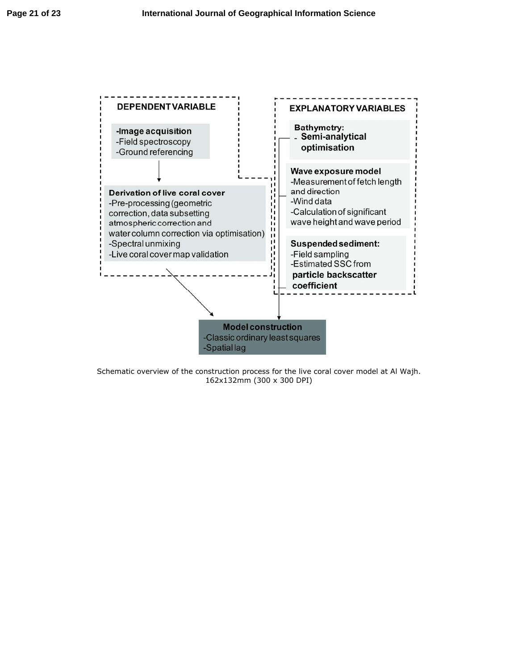

Schematic overview of the construction process for the live coral cover model at Al Wajh. 162x132mm (300 x 300 DPI)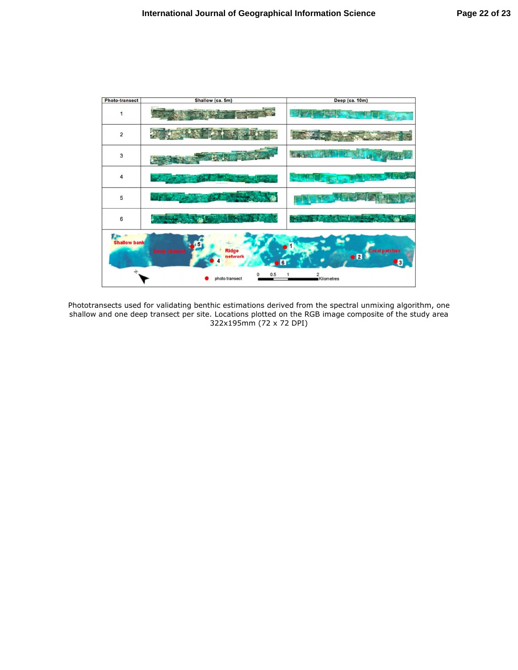

Phototransects used for validating benthic estimations derived from the spectral unmixing algorithm, one shallow and one deep transect per site. Locations plotted on the RGB image composite of the study area 322x195mm (72 x 72 DPI)